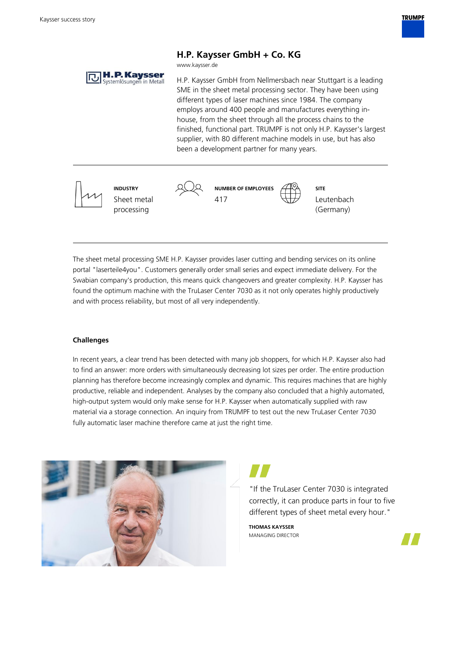

## **H.P. Kaysser GmbH + Co. KG**

www.kaysser.de

**H.P. Kaysser** H.P. Kaysser GmbH from Nellmersbach near Stuttgart is a leading SME in the sheet metal processing sector. They have been using

different types of laser machines since 1984. The company employs around 400 people and manufactures everything inhouse, from the sheet through all the process chains to the finished, functional part. TRUMPF is not only H.P. Kaysser's largest supplier, with 80 different machine models in use, but has also been a development partner for many years.



The sheet metal processing SME H.P. Kaysser provides laser cutting and bending services on its online portal "laserteile4you". Customers generally order small series and expect immediate delivery. For the Swabian company's production, this means quick changeovers and greater complexity. H.P. Kaysser has found the optimum machine with the TruLaser Center 7030 as it not only operates highly productively and with process reliability, but most of all very independently.

## **Challenges**

In recent years, a clear trend has been detected with many job shoppers, for which H.P. Kaysser also had to find an answer: more orders with simultaneously decreasing lot sizes per order. The entire production planning has therefore become increasingly complex and dynamic. This requires machines that are highly productive, reliable and independent. Analyses by the company also concluded that a highly automated, high-output system would only make sense for H.P. Kaysser when automatically supplied with raw material via a storage connection. An inquiry from TRUMPF to test out the new TruLaser Center 7030 fully automatic laser machine therefore came at just the right time.



"If the TruLaser Center 7030 is integrated correctly, it can produce parts in four to five different types of sheet metal every hour."

**THOMAS KAYSSER** MANAGING DIRECTOR

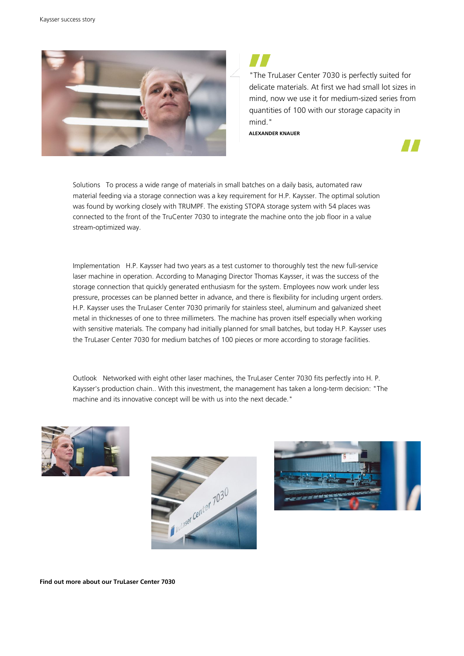

"The TruLaser Center 7030 is perfectly suited for delicate materials. At first we had small lot sizes in mind, now we use it for medium-sized series from quantities of 100 with our storage capacity in mind."

**ALEXANDER KNAUER**



Solutions To process a wide range of materials in small batches on a daily basis, automated raw material feeding via a storage connection was a key requirement for H.P. Kaysser. The optimal solution was found by working closely with TRUMPF. The existing STOPA storage system with 54 places was connected to the front of the TruCenter 7030 to integrate the machine onto the job floor in a value stream-optimized way.

Implementation H.P. Kaysser had two years as a test customer to thoroughly test the new full-service laser machine in operation. According to Managing Director Thomas Kaysser, it was the success of the storage connection that quickly generated enthusiasm for the system. Employees now work under less pressure, processes can be planned better in advance, and there is flexibility for including urgent orders. H.P. Kaysser uses the TruLaser Center 7030 primarily for stainless steel, aluminum and galvanized sheet metal in thicknesses of one to three millimeters. The machine has proven itself especially when working with sensitive materials. The company had initially planned for small batches, but today H.P. Kaysser uses the TruLaser Center 7030 for medium batches of 100 pieces or more according to storage facilities.

Outlook Networked with eight other laser machines, the TruLaser Center 7030 fits perfectly into H. P. Kaysser's production chain.. With this investment, the management has taken a long-term decision: "The machine and its innovative concept will be with us into the next decade."







**Find out more about our TruLaser Center 7030**